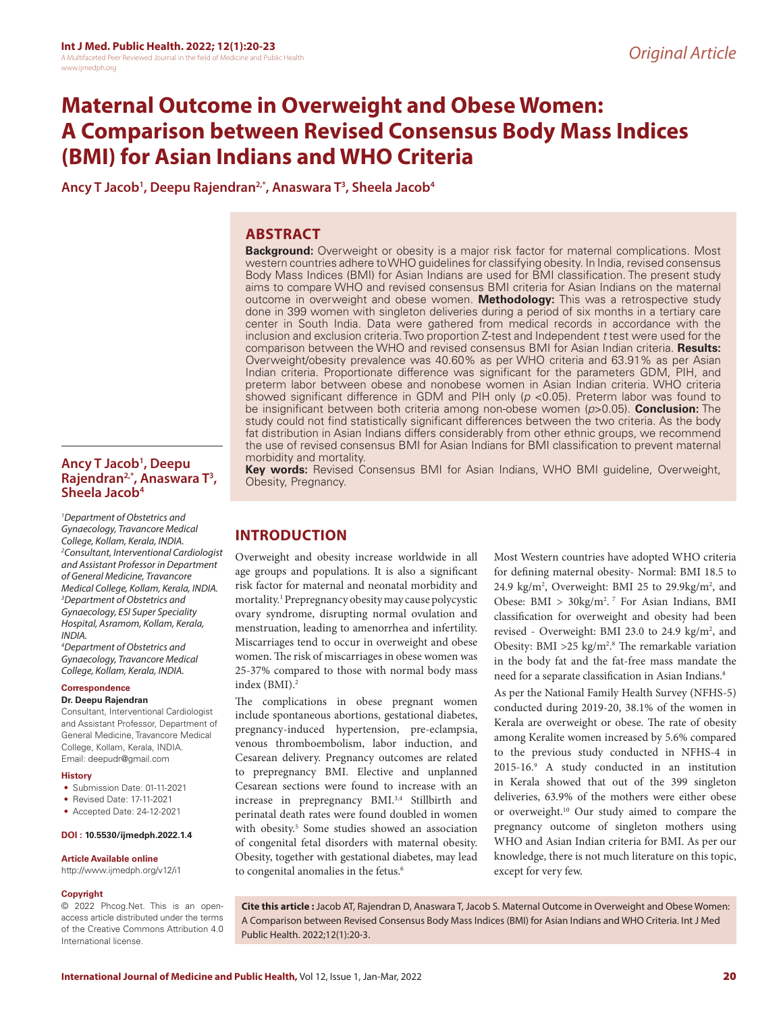# **Maternal Outcome in Overweight and Obese Women: A Comparison between Revised Consensus Body Mass Indices (BMI) for Asian Indians and WHO Criteria**

**Ancy T Jacob1 , Deepu Rajendran2,\*, Anaswara T3 , Sheela Jacob4**

# **ABSTRACT**

**Background:** Overweight or obesity is a major risk factor for maternal complications. Most western countries adhere to WHO guidelines for classifying obesity. In India, revised consensus Body Mass Indices (BMI) for Asian Indians are used for BMI classification. The present study aims to compare WHO and revised consensus BMI criteria for Asian Indians on the maternal outcome in overweight and obese women. **Methodology:** This was a retrospective study done in 399 women with singleton deliveries during a period of six months in a tertiary care center in South India. Data were gathered from medical records in accordance with the inclusion and exclusion criteria. Two proportion Z-test and Independent *t* test were used for the comparison between the WHO and revised consensus BMI for Asian Indian criteria. **Results:** Overweight/obesity prevalence was 40.60% as per WHO criteria and 63.91% as per Asian Indian criteria. Proportionate difference was significant for the parameters GDM, PIH, and preterm labor between obese and nonobese women in Asian Indian criteria. WHO criteria showed significant difference in GDM and PIH only (*p* <0.05). Preterm labor was found to be insignificant between both criteria among non-obese women (*p*>0.05). **Conclusion:** The study could not find statistically significant differences between the two criteria. As the body fat distribution in Asian Indians differs considerably from other ethnic groups, we recommend the use of revised consensus BMI for Asian Indians for BMI classification to prevent maternal morbidity and mortality. **Key words:** Revised Consensus BMI for Asian Indians, WHO BMI guideline, Overweight,

**Ancy T Jacob1 , Deepu Rajendran2,\*, Anaswara T3 , Sheela Jacob4**

*1 Department of Obstetrics and Gynaecology, Travancore Medical College, Kollam, Kerala, INDIA. 2 Consultant, Interventional Cardiologist and Assistant Professor in Department of General Medicine, Travancore Medical College, Kollam, Kerala, INDIA. 3 Department of Obstetrics and Gynaecology, ESI Super Speciality Hospital, Asramom, Kollam, Kerala, INDIA.*

*4 Department of Obstetrics and Gynaecology, Travancore Medical College, Kollam, Kerala, INDIA.*

### **Correspondence**

## **Dr. Deepu Rajendran**

Consultant, Interventional Cardiologist and Assistant Professor, Department of General Medicine, Travancore Medical College, Kollam, Kerala, INDIA. Email: deepudr@gmail.com

#### **History**

- Submission Date: 01-11-2021
- Revised Date: 17-11-2021
- Accepted Date: 24-12-2021

## **DOI : 10.5530/ijmedph.2022.1.4**

#### **Article Available online**

http://www.ijmedph.org/v12/i1

#### **Copyright**

© 2022 Phcog.Net. This is an openaccess article distributed under the terms of the Creative Commons Attribution 4.0 International license.

Obesity, Pregnancy.

# **INTRODUCTION**

Overweight and obesity increase worldwide in all age groups and populations. It is also a significant risk factor for maternal and neonatal morbidity and mortality.1 Prepregnancy obesity may cause polycystic ovary syndrome, disrupting normal ovulation and menstruation, leading to amenorrhea and infertility. Miscarriages tend to occur in overweight and obese women. The risk of miscarriages in obese women was 25-37% compared to those with normal body mass index (BMI).<sup>2</sup>

The complications in obese pregnant women include spontaneous abortions, gestational diabetes, pregnancy-induced hypertension, pre-eclampsia, venous thromboembolism, labor induction, and Cesarean delivery. Pregnancy outcomes are related to prepregnancy BMI. Elective and unplanned Cesarean sections were found to increase with an increase in prepregnancy BMI.3,4 Stillbirth and perinatal death rates were found doubled in women with obesity.<sup>5</sup> Some studies showed an association of congenital fetal disorders with maternal obesity. Obesity, together with gestational diabetes, may lead to congenital anomalies in the fetus.<sup>6</sup>

Most Western countries have adopted WHO criteria for defining maternal obesity- Normal: BMI 18.5 to 24.9 kg/m<sup>2</sup>, Overweight: BMI 25 to 29.9kg/m<sup>2</sup>, and Obese:  $BMI > 30\text{kg/m}^2$ . For Asian Indians, BMI classification for overweight and obesity had been revised - Overweight: BMI 23.0 to 24.9 kg/m<sup>2</sup>, and Obesity: BMI  $>$ 25 kg/m<sup>2,8</sup> The remarkable variation in the body fat and the fat-free mass mandate the need for a separate classification in Asian Indians.<sup>8</sup>

As per the National Family Health Survey (NFHS-5) conducted during 2019-20, 38.1% of the women in Kerala are overweight or obese. The rate of obesity among Keralite women increased by 5.6% compared to the previous study conducted in NFHS-4 in 2015-16.9 A study conducted in an institution in Kerala showed that out of the 399 singleton deliveries, 63.9% of the mothers were either obese or overweight.10 Our study aimed to compare the pregnancy outcome of singleton mothers using WHO and Asian Indian criteria for BMI. As per our knowledge, there is not much literature on this topic, except for very few.

**Cite this article :** Jacob AT, Rajendran D, Anaswara T, Jacob S. Maternal Outcome in Overweight and Obese Women: A Comparison between Revised Consensus Body Mass Indices (BMI) for Asian Indians and WHO Criteria. Int J Med Public Health. 2022;12(1):20-3.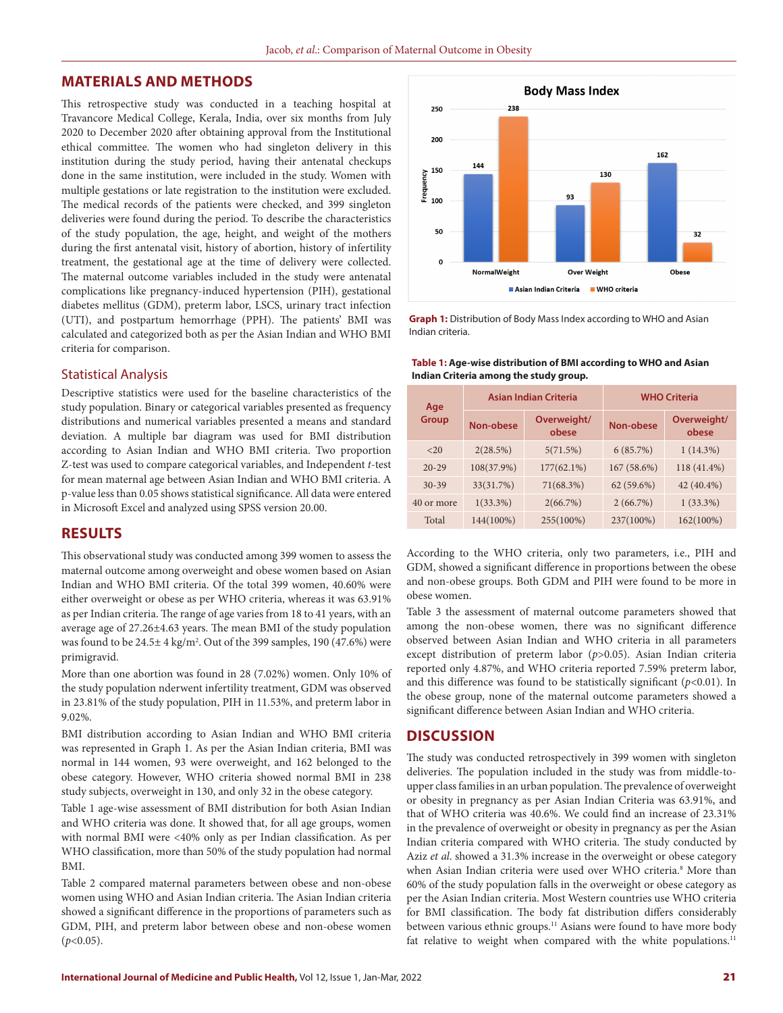# **MATERIALS AND METHODS**

This retrospective study was conducted in a teaching hospital at Travancore Medical College, Kerala, India, over six months from July 2020 to December 2020 after obtaining approval from the Institutional ethical committee. The women who had singleton delivery in this institution during the study period, having their antenatal checkups done in the same institution, were included in the study. Women with multiple gestations or late registration to the institution were excluded. The medical records of the patients were checked, and 399 singleton deliveries were found during the period. To describe the characteristics of the study population, the age, height, and weight of the mothers during the first antenatal visit, history of abortion, history of infertility treatment, the gestational age at the time of delivery were collected. The maternal outcome variables included in the study were antenatal complications like pregnancy-induced hypertension (PIH), gestational diabetes mellitus (GDM), preterm labor, LSCS, urinary tract infection (UTI), and postpartum hemorrhage (PPH). The patients' BMI was calculated and categorized both as per the Asian Indian and WHO BMI criteria for comparison.

### Statistical Analysis

Descriptive statistics were used for the baseline characteristics of the study population. Binary or categorical variables presented as frequency distributions and numerical variables presented a means and standard deviation. A multiple bar diagram was used for BMI distribution according to Asian Indian and WHO BMI criteria. Two proportion Z-test was used to compare categorical variables, and Independent *t*-test for mean maternal age between Asian Indian and WHO BMI criteria. A p-value less than 0.05 shows statistical significance. All data were entered in Microsoft Excel and analyzed using SPSS version 20.00.

# **RESULTS**

This observational study was conducted among 399 women to assess the maternal outcome among overweight and obese women based on Asian Indian and WHO BMI criteria. Of the total 399 women, 40.60% were either overweight or obese as per WHO criteria, whereas it was 63.91% as per Indian criteria. The range of age varies from 18 to 41 years, with an average age of 27.26±4.63 years. The mean BMI of the study population was found to be  $24.5 \pm 4$  kg/m<sup>2</sup>. Out of the 399 samples, 190 (47.6%) were primigravid.

More than one abortion was found in 28 (7.02%) women. Only 10% of the study population nderwent infertility treatment, GDM was observed in 23.81% of the study population, PIH in 11.53%, and preterm labor in 9.02%.

BMI distribution according to Asian Indian and WHO BMI criteria was represented in Graph 1. As per the Asian Indian criteria, BMI was normal in 144 women, 93 were overweight, and 162 belonged to the obese category. However, WHO criteria showed normal BMI in 238 study subjects, overweight in 130, and only 32 in the obese category.

Table 1 age-wise assessment of BMI distribution for both Asian Indian and WHO criteria was done. It showed that, for all age groups, women with normal BMI were <40% only as per Indian classification. As per WHO classification, more than 50% of the study population had normal BMI.

Table 2 compared maternal parameters between obese and non-obese women using WHO and Asian Indian criteria. The Asian Indian criteria showed a significant difference in the proportions of parameters such as GDM, PIH, and preterm labor between obese and non-obese women (*p*<0.05).



**Graph 1:** Distribution of Body Mass Index according to WHO and Asian Indian criteria.

#### **Table 1: Age-wise distribution of BMI according to WHO and Asian Indian Criteria among the study group.**

| Age<br>Group |             | <b>Asian Indian Criteria</b> | <b>WHO Criteria</b> |                      |  |
|--------------|-------------|------------------------------|---------------------|----------------------|--|
|              | Non-obese   | Overweight/<br>obese         | Non-obese           | Overweight/<br>obese |  |
| <20          | 2(28.5%)    | 5(71.5%)                     | 6(85.7%)            | 1(14.3%)             |  |
| $20 - 29$    | 108(37.9%)  | $177(62.1\%)$                | 167 (58.6%)         | 118 (41.4%)          |  |
| $30 - 39$    | 33(31.7%)   | 71(68.3%)                    | 62 (59.6%)          | 42 (40.4%)           |  |
| 40 or more   | $1(33.3\%)$ | 2(66.7%)                     | 2(66.7%)            | $1(33.3\%)$          |  |
| Total        | 144(100%)   | 255(100%)                    | 237(100%)           | 162(100%)            |  |

According to the WHO criteria, only two parameters, i.e., PIH and GDM, showed a significant difference in proportions between the obese and non-obese groups. Both GDM and PIH were found to be more in obese women.

Table 3 the assessment of maternal outcome parameters showed that among the non-obese women, there was no significant difference observed between Asian Indian and WHO criteria in all parameters except distribution of preterm labor (*p*>0.05). Asian Indian criteria reported only 4.87%, and WHO criteria reported 7.59% preterm labor, and this difference was found to be statistically significant  $(p<0.01)$ . In the obese group, none of the maternal outcome parameters showed a significant difference between Asian Indian and WHO criteria.

# **DISCUSSION**

The study was conducted retrospectively in 399 women with singleton deliveries. The population included in the study was from middle-toupper class families in an urban population. The prevalence of overweight or obesity in pregnancy as per Asian Indian Criteria was 63.91%, and that of WHO criteria was 40.6%. We could find an increase of 23.31% in the prevalence of overweight or obesity in pregnancy as per the Asian Indian criteria compared with WHO criteria. The study conducted by Aziz *et al*. showed a 31.3% increase in the overweight or obese category when Asian Indian criteria were used over WHO criteria.<sup>8</sup> More than 60% of the study population falls in the overweight or obese category as per the Asian Indian criteria. Most Western countries use WHO criteria for BMI classification. The body fat distribution differs considerably between various ethnic groups.<sup>11</sup> Asians were found to have more body fat relative to weight when compared with the white populations.<sup>11</sup>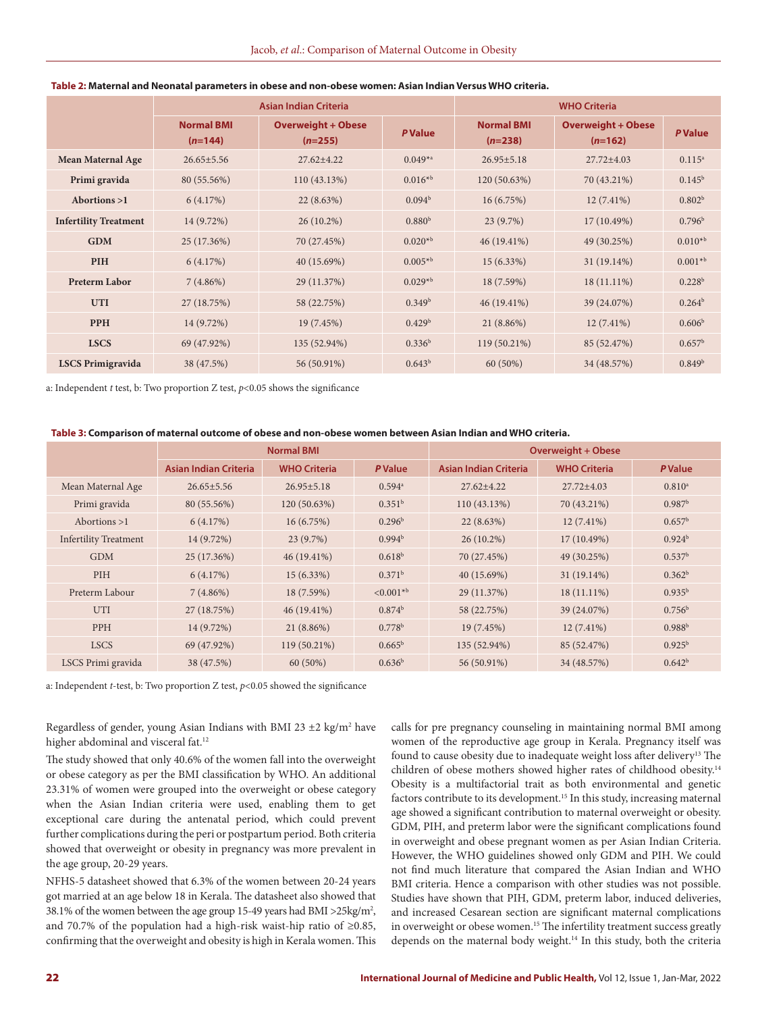|                              | <b>Asian Indian Criteria</b>   |                                        |                    | <b>WHO Criteria</b>            |                                        |                    |
|------------------------------|--------------------------------|----------------------------------------|--------------------|--------------------------------|----------------------------------------|--------------------|
|                              | <b>Normal BMI</b><br>$(n=144)$ | <b>Overweight + Obese</b><br>$(n=255)$ | <b>PValue</b>      | <b>Normal BMI</b><br>$(n=238)$ | <b>Overweight + Obese</b><br>$(n=162)$ | <b>P</b> Value     |
| <b>Mean Maternal Age</b>     | $26.65 \pm 5.56$               | $27.62 \pm 4.22$                       | $0.049^{*a}$       | $26.95 \pm 5.18$               | $27.72 \pm 4.03$                       | $0.115^{a}$        |
| Primi gravida                | 80 (55.56%)                    | 110(43.13%)                            | $0.016^{*b}$       | 120 (50.63%)                   | 70 (43.21%)                            | $0.145^{\rm b}$    |
| Abortions $>1$               | 6(4.17%)                       | 22(8.63%)                              | 0.094 <sup>b</sup> | 16(6.75%)                      | $12(7.41\%)$                           | 0.802 <sup>b</sup> |
| <b>Infertility Treatment</b> | 14 (9.72%)                     | $26(10.2\%)$                           | 0.880 <sup>b</sup> | 23(9.7%)                       | $17(10.49\%)$                          | 0.796 <sup>b</sup> |
| <b>GDM</b>                   | 25 (17.36%)                    | 70 (27.45%)                            | $0.020^{*b}$       | $46(19.41\%)$                  | 49 (30.25%)                            | $0.010^{*b}$       |
| PIH                          | 6(4.17%)                       | 40 (15.69%)                            | $0.005*^{b}$       | 15(6.33%)                      | $31(19.14\%)$                          | $0.001*^{b}$       |
| <b>Preterm Labor</b>         | 7(4.86%)                       | 29 (11.37%)                            | $0.029^{*b}$       | 18 (7.59%)                     | $18(11.11\%)$                          | 0.228 <sup>b</sup> |
| <b>UTI</b>                   | 27 (18.75%)                    | 58 (22.75%)                            | 0.349 <sup>b</sup> | 46 (19.41%)                    | 39 (24.07%)                            | $0.264^b$          |
| <b>PPH</b>                   | 14 (9.72%)                     | 19 (7.45%)                             | 0.429 <sup>b</sup> | 21 (8.86%)                     | $12(7.41\%)$                           | 0.606 <sup>b</sup> |
| <b>LSCS</b>                  | 69 (47.92%)                    | 135 (52.94%)                           | $0.336^{b}$        | 119 (50.21%)                   | 85 (52.47%)                            | 0.657 <sup>b</sup> |
| <b>LSCS Primigravida</b>     | 38 (47.5%)                     | 56 (50.91%)                            | $0.643^b$          | 60 (50%)                       | 34 (48.57%)                            | 0.849 <sup>b</sup> |

#### **Table 2: Maternal and Neonatal parameters in obese and non-obese women: Asian Indian Versus WHO criteria.**

a: Independent *t* test, b: Two proportion Z test, *p*<0.05 shows the significance

| Table 3: Comparison of maternal outcome of obese and non-obese women between Asian Indian and WHO criteria. |  |  |  |
|-------------------------------------------------------------------------------------------------------------|--|--|--|
|-------------------------------------------------------------------------------------------------------------|--|--|--|

|                              | <b>Normal BMI</b>            |                     |                      | <b>Overweight + Obese</b>    |                     |                    |
|------------------------------|------------------------------|---------------------|----------------------|------------------------------|---------------------|--------------------|
|                              | <b>Asian Indian Criteria</b> | <b>WHO Criteria</b> | <b>P</b> Value       | <b>Asian Indian Criteria</b> | <b>WHO Criteria</b> | <b>P</b> Value     |
| Mean Maternal Age            | $26.65 \pm 5.56$             | $26.95 \pm 5.18$    | $0.594$ <sup>a</sup> | $27.62 + 4.22$               | $27.72 + 4.03$      | $0.810^a$          |
| Primi gravida                | 80 (55.56%)                  | 120 (50.63%)        | 0.351 <sup>b</sup>   | 110 (43.13%)                 | 70 (43.21%)         | 0.987 <sup>b</sup> |
| Abortions $>1$               | 6(4.17%)                     | 16(6.75%)           | 0.296 <sup>b</sup>   | $22(8.63\%)$                 | $12(7.41\%)$        | 0.657 <sup>b</sup> |
| <b>Infertility Treatment</b> | 14 (9.72%)                   | 23(9.7%)            | 0.994 <sup>b</sup>   | $26(10.2\%)$                 | 17 (10.49%)         | 0.924 <sup>b</sup> |
| <b>GDM</b>                   | 25 (17.36%)                  | $46(19.41\%)$       | 0.618 <sup>b</sup>   | 70 (27.45%)                  | 49 (30.25%)         | 0.537 <sup>b</sup> |
| PIH                          | 6(4.17%)                     | 15 (6.33%)          | 0.371 <sup>b</sup>   | 40 (15.69%)                  | 31 (19.14%)         | 0.362 <sup>b</sup> |
| Preterm Labour               | $7(4.86\%)$                  | 18 (7.59%)          | $< 0.001^{*b}$       | 29 (11.37%)                  | $18(11.11\%)$       | $0.935^{b}$        |
| <b>UTI</b>                   | 27 (18.75%)                  | $46(19.41\%)$       | 0.874 <sup>b</sup>   | 58 (22.75%)                  | 39 (24.07%)         | $0.756^{\rm b}$    |
| PPH                          | 14 (9.72%)                   | $21(8.86\%)$        | 0.778 <sup>b</sup>   | 19 (7.45%)                   | $12(7.41\%)$        | 0.988 <sup>b</sup> |
| <b>LSCS</b>                  | 69 (47.92%)                  | 119 (50.21%)        | $0.665^{\rm b}$      | 135 (52.94%)                 | 85 (52.47%)         | 0.925 <sup>b</sup> |
| LSCS Primi gravida           | 38 (47.5%)                   | $60(50\%)$          | $0.636^{b}$          | 56 (50.91%)                  | 34 (48.57%)         | $0.642^b$          |

a: Independent *t*-test, b: Two proportion Z test, *p*<0.05 showed the significance

Regardless of gender, young Asian Indians with BMI 23  $\pm$ 2 kg/m<sup>2</sup> have higher abdominal and visceral fat.<sup>12</sup>

The study showed that only 40.6% of the women fall into the overweight or obese category as per the BMI classification by WHO. An additional 23.31% of women were grouped into the overweight or obese category when the Asian Indian criteria were used, enabling them to get exceptional care during the antenatal period, which could prevent further complications during the peri or postpartum period. Both criteria showed that overweight or obesity in pregnancy was more prevalent in the age group, 20-29 years.

NFHS-5 datasheet showed that 6.3% of the women between 20-24 years got married at an age below 18 in Kerala. The datasheet also showed that 38.1% of the women between the age group 15-49 years had BMI  $>$ 25kg/m<sup>2</sup>, and 70.7% of the population had a high-risk waist-hip ratio of ≥0.85, confirming that the overweight and obesity is high in Kerala women. This

calls for pre pregnancy counseling in maintaining normal BMI among women of the reproductive age group in Kerala. Pregnancy itself was found to cause obesity due to inadequate weight loss after delivery<sup>13</sup> The children of obese mothers showed higher rates of childhood obesity.<sup>14</sup> Obesity is a multifactorial trait as both environmental and genetic factors contribute to its development.<sup>15</sup> In this study, increasing maternal age showed a significant contribution to maternal overweight or obesity. GDM, PIH, and preterm labor were the significant complications found in overweight and obese pregnant women as per Asian Indian Criteria. However, the WHO guidelines showed only GDM and PIH. We could not find much literature that compared the Asian Indian and WHO BMI criteria. Hence a comparison with other studies was not possible. Studies have shown that PIH, GDM, preterm labor, induced deliveries, and increased Cesarean section are significant maternal complications in overweight or obese women.<sup>15</sup> The infertility treatment success greatly depends on the maternal body weight.<sup>14</sup> In this study, both the criteria